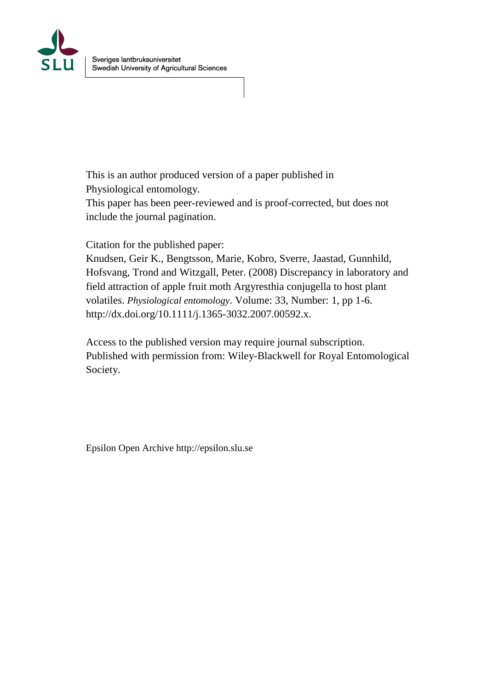

This is an author produced version of a paper published in Physiological entomology.

This paper has been peer-reviewed and is proof-corrected, but does not include the journal pagination.

Citation for the published paper:

Knudsen, Geir K., Bengtsson, Marie, Kobro, Sverre, Jaastad, Gunnhild, Hofsvang, Trond and Witzgall, Peter. (2008) Discrepancy in laboratory and field attraction of apple fruit moth Argyresthia conjugella to host plant volatiles. *Physiological entomology*. Volume: 33, Number: 1, pp 1-6. http://dx.doi.org/10.1111/j.1365-3032.2007.00592.x.

Access to the published version may require journal subscription. Published with permission from: Wiley-Blackwell for Royal Entomological Society.

Epsilon Open Archive http://epsilon.slu.se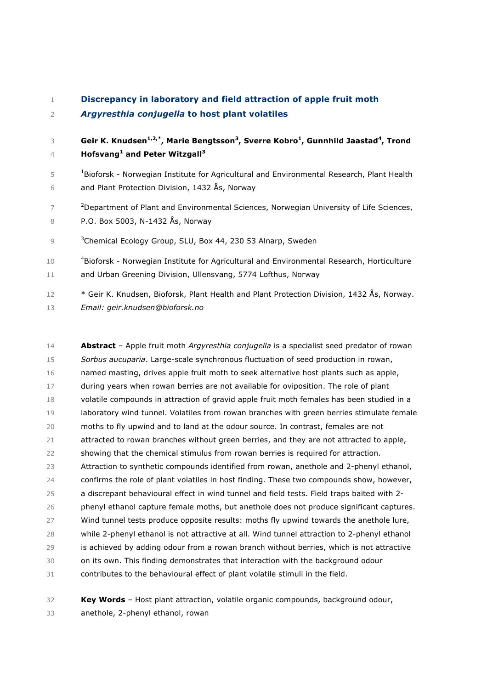|  | Discrepancy in laboratory and field attraction of apple fruit moth |  |  |
|--|--------------------------------------------------------------------|--|--|
|--|--------------------------------------------------------------------|--|--|

## *Argyresthia conjugella* **to host plant volatiles**

**Geir K. Knudsen<sup>1,2,\*</sup>, Marie Bengtsson<sup>3</sup>, Sverre Kobro<sup>1</sup>, Gunnhild Jaastad<sup>4</sup>, Trond Hofsvang1 and Peter Witzgall3**

- 5 <sup>1</sup> Bioforsk Norwegian Institute for Agricultural and Environmental Research, Plant Health and Plant Protection Division, 1432 Ås, Norway
- <sup>2</sup> Department of Plant and Environmental Sciences, Norwegian University of Life Sciences, P.O. Box 5003, N-1432 Ås, Norway

9 <sup>3</sup> Chemical Ecology Group, SLU, Box 44, 230 53 Alnarp, Sweden

- 10 <sup>4</sup>Bioforsk Norwegian Institute for Agricultural and Environmental Research, Horticulture and Urban Greening Division, Ullensvang, 5774 Lofthus, Norway
- \* Geir K. Knudsen, Bioforsk, Plant Health and Plant Protection Division, 1432 Ås, Norway. *Email: geir.knudsen@bioforsk.no*

 **Abstract** – Apple fruit moth *Argyresthia conjugella* is a specialist seed predator of rowan *Sorbus aucuparia*. Large-scale synchronous fluctuation of seed production in rowan, named masting, drives apple fruit moth to seek alternative host plants such as apple, during years when rowan berries are not available for oviposition. The role of plant volatile compounds in attraction of gravid apple fruit moth females has been studied in a laboratory wind tunnel. Volatiles from rowan branches with green berries stimulate female moths to fly upwind and to land at the odour source. In contrast, females are not attracted to rowan branches without green berries, and they are not attracted to apple, showing that the chemical stimulus from rowan berries is required for attraction. Attraction to synthetic compounds identified from rowan, anethole and 2-phenyl ethanol, confirms the role of plant volatiles in host finding. These two compounds show, however, a discrepant behavioural effect in wind tunnel and field tests. Field traps baited with 2- phenyl ethanol capture female moths, but anethole does not produce significant captures. Wind tunnel tests produce opposite results: moths fly upwind towards the anethole lure, while 2-phenyl ethanol is not attractive at all. Wind tunnel attraction to 2-phenyl ethanol is achieved by adding odour from a rowan branch without berries, which is not attractive on its own. This finding demonstrates that interaction with the background odour contributes to the behavioural effect of plant volatile stimuli in the field.

 **Key Words** – Host plant attraction, volatile organic compounds, background odour, anethole, 2-phenyl ethanol, rowan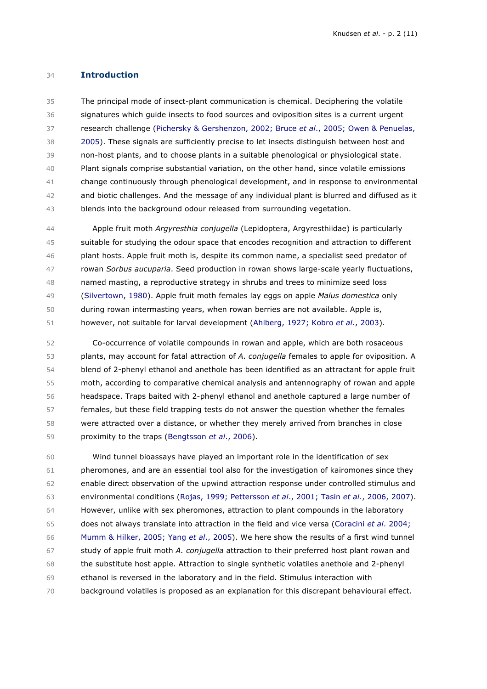### **Introduction**

 The principal mode of insect-plant communication is chemical. Deciphering the volatile signatures which guide insects to food sources and oviposition sites is a current urgent research challenge (Pichersky & Gershenzon, 2002; Bruce *et al*., 2005; Owen & Penuelas, 2005). These signals are sufficiently precise to let insects distinguish between host and non-host plants, and to choose plants in a suitable phenological or physiological state. Plant signals comprise substantial variation, on the other hand, since volatile emissions change continuously through phenological development, and in response to environmental and biotic challenges. And the message of any individual plant is blurred and diffused as it blends into the background odour released from surrounding vegetation.

 Apple fruit moth *Argyresthia conjugella* (Lepidoptera, Argyresthiidae) is particularly suitable for studying the odour space that encodes recognition and attraction to different plant hosts. Apple fruit moth is, despite its common name, a specialist seed predator of rowan *Sorbus aucuparia*. Seed production in rowan shows large-scale yearly fluctuations, named masting, a reproductive strategy in shrubs and trees to minimize seed loss (Silvertown, 1980). Apple fruit moth females lay eggs on apple *Malus domestica* only during rowan intermasting years, when rowan berries are not available. Apple is, however, not suitable for larval development (Ahlberg, 1927; Kobro *et al*., 2003).

 Co-occurrence of volatile compounds in rowan and apple, which are both rosaceous plants, may account for fatal attraction of *A*. *conjugella* females to apple for oviposition. A blend of 2-phenyl ethanol and anethole has been identified as an attractant for apple fruit moth, according to comparative chemical analysis and antennography of rowan and apple headspace. Traps baited with 2-phenyl ethanol and anethole captured a large number of females, but these field trapping tests do not answer the question whether the females were attracted over a distance, or whether they merely arrived from branches in close proximity to the traps (Bengtsson *et al*., 2006).

 Wind tunnel bioassays have played an important role in the identification of sex pheromones, and are an essential tool also for the investigation of kairomones since they enable direct observation of the upwind attraction response under controlled stimulus and environmental conditions (Rojas, 1999; Pettersson *et al*., 2001; Tasin *et al*., 2006, 2007). However, unlike with sex pheromones, attraction to plant compounds in the laboratory does not always translate into attraction in the field and vice versa (Coracini *et al*. 2004; Mumm & Hilker, 2005; Yang *et al*., 2005). We here show the results of a first wind tunnel study of apple fruit moth *A. conjugella* attraction to their preferred host plant rowan and the substitute host apple. Attraction to single synthetic volatiles anethole and 2-phenyl ethanol is reversed in the laboratory and in the field. Stimulus interaction with background volatiles is proposed as an explanation for this discrepant behavioural effect.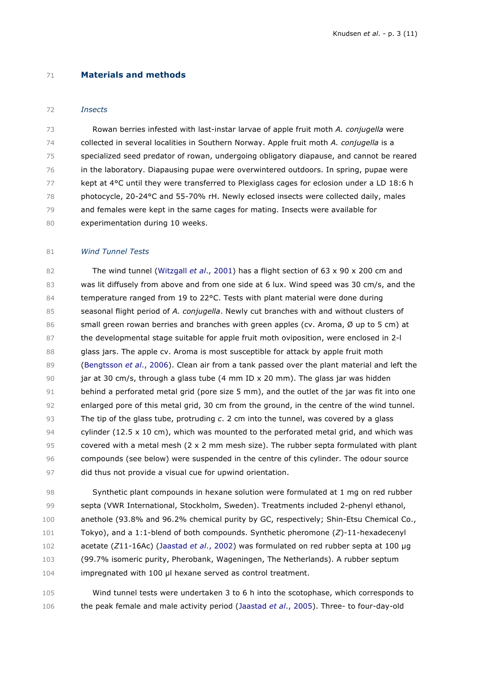#### **Materials and methods**

#### *Insects*

 Rowan berries infested with last-instar larvae of apple fruit moth *A. conjugella* were collected in several localities in Southern Norway. Apple fruit moth *A. conjugella* is a specialized seed predator of rowan, undergoing obligatory diapause, and cannot be reared in the laboratory. Diapausing pupae were overwintered outdoors. In spring, pupae were 77 kept at 4°C until they were transferred to Plexiglass cages for eclosion under a LD 18:6 h photocycle, 20-24°C and 55-70% rH. Newly eclosed insects were collected daily, males and females were kept in the same cages for mating. Insects were available for experimentation during 10 weeks.

#### *Wind Tunnel Tests*

 The wind tunnel (Witzgall *et al*., 2001) has a flight section of 63 x 90 x 200 cm and was lit diffusely from above and from one side at 6 lux. Wind speed was 30 cm/s, and the 84 temperature ranged from 19 to 22°C. Tests with plant material were done during seasonal flight period of *A. conjugella*. Newly cut branches with and without clusters of 86 small green rowan berries and branches with green apples (cv. Aroma, Ø up to 5 cm) at the developmental stage suitable for apple fruit moth oviposition, were enclosed in 2-l 88 glass jars. The apple cv. Aroma is most susceptible for attack by apple fruit moth (Bengtsson *et al*., 2006). Clean air from a tank passed over the plant material and left the jar at 30 cm/s, through a glass tube (4 mm ID x 20 mm). The glass jar was hidden 91 behind a perforated metal grid (pore size 5 mm), and the outlet of the jar was fit into one enlarged pore of this metal grid, 30 cm from the ground, in the centre of the wind tunnel. The tip of the glass tube, protruding *c*. 2 cm into the tunnel, was covered by a glass 94 cylinder (12.5 x 10 cm), which was mounted to the perforated metal grid, and which was covered with a metal mesh (2 x 2 mm mesh size). The rubber septa formulated with plant compounds (see below) were suspended in the centre of this cylinder. The odour source did thus not provide a visual cue for upwind orientation.

 Synthetic plant compounds in hexane solution were formulated at 1 mg on red rubber septa (VWR International, Stockholm, Sweden). Treatments included 2-phenyl ethanol, anethole (93.8% and 96.2% chemical purity by GC, respectively; Shin-Etsu Chemical Co., Tokyo), and a 1:1-blend of both compounds. Synthetic pheromone (*Z*)-11-hexadecenyl acetate (*Z*11-16Ac) (Jaastad *et al*., 2002) was formulated on red rubber septa at 100 µg (99.7% isomeric purity, Pherobank, Wageningen, The Netherlands). A rubber septum impregnated with 100 µl hexane served as control treatment.

 Wind tunnel tests were undertaken 3 to 6 h into the scotophase, which corresponds to the peak female and male activity period (Jaastad *et al*., 2005). Three- to four-day-old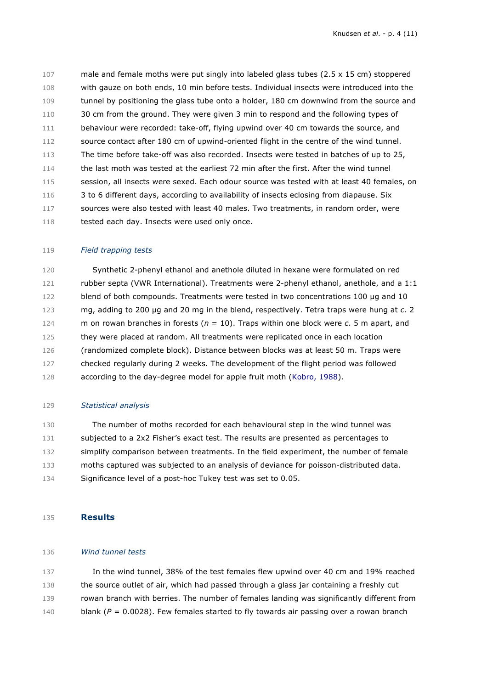male and female moths were put singly into labeled glass tubes (2.5 x 15 cm) stoppered with gauze on both ends, 10 min before tests. Individual insects were introduced into the 109 tunnel by positioning the glass tube onto a holder, 180 cm downwind from the source and 110 30 cm from the ground. They were given 3 min to respond and the following types of 111 behaviour were recorded: take-off, flying upwind over 40 cm towards the source, and source contact after 180 cm of upwind-oriented flight in the centre of the wind tunnel. The time before take-off was also recorded. Insects were tested in batches of up to 25, the last moth was tested at the earliest 72 min after the first. After the wind tunnel 115 session, all insects were sexed. Each odour source was tested with at least 40 females, on 3 to 6 different days, according to availability of insects eclosing from diapause. Six sources were also tested with least 40 males. Two treatments, in random order, were 118 tested each day. Insects were used only once.

#### *Field trapping tests*

 Synthetic 2-phenyl ethanol and anethole diluted in hexane were formulated on red rubber septa (VWR International). Treatments were 2-phenyl ethanol, anethole, and a 1:1 122 blend of both compounds. Treatments were tested in two concentrations 100 µg and 10 mg, adding to 200 µg and 20 mg in the blend, respectively. Tetra traps were hung at *c*. 2 m on rowan branches in forests (*n* = 10). Traps within one block were *c*. 5 m apart, and they were placed at random. All treatments were replicated once in each location (randomized complete block). Distance between blocks was at least 50 m. Traps were checked regularly during 2 weeks. The development of the flight period was followed according to the day-degree model for apple fruit moth (Kobro, 1988).

#### *Statistical analysis*

 The number of moths recorded for each behavioural step in the wind tunnel was 131 subjected to a 2x2 Fisher's exact test. The results are presented as percentages to 132 simplify comparison between treatments. In the field experiment, the number of female moths captured was subjected to an analysis of deviance for poisson-distributed data. Significance level of a post-hoc Tukey test was set to 0.05.

### **Results**

### *Wind tunnel tests*

 In the wind tunnel, 38% of the test females flew upwind over 40 cm and 19% reached the source outlet of air, which had passed through a glass jar containing a freshly cut rowan branch with berries. The number of females landing was significantly different from 140 blank ( $P = 0.0028$ ). Few females started to fly towards air passing over a rowan branch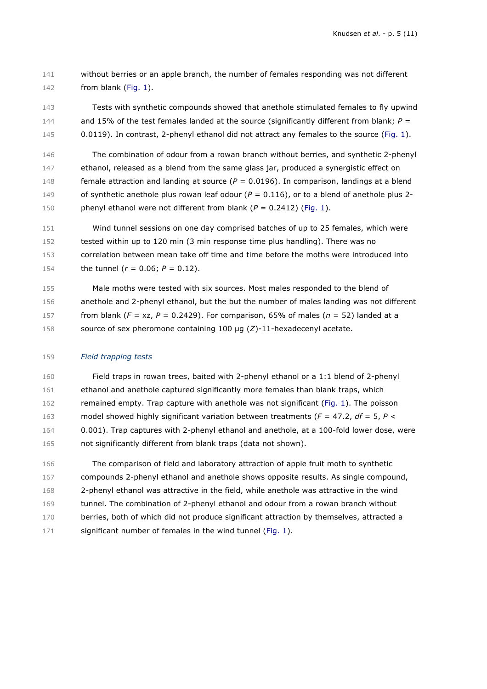without berries or an apple branch, the number of females responding was not different from blank (Fig. 1).

 Tests with synthetic compounds showed that anethole stimulated females to fly upwind 144 and 15% of the test females landed at the source (significantly different from blank;  $P =$ 145 0.0119). In contrast, 2-phenyl ethanol did not attract any females to the source (Fig. 1).

 The combination of odour from a rowan branch without berries, and synthetic 2-phenyl ethanol, released as a blend from the same glass jar, produced a synergistic effect on female attraction and landing at source (*P* = 0.0196). In comparison, landings at a blend of synthetic anethole plus rowan leaf odour (*P* = 0.116), or to a blend of anethole plus 2- phenyl ethanol were not different from blank (*P* = 0.2412) (Fig. 1).

 Wind tunnel sessions on one day comprised batches of up to 25 females, which were tested within up to 120 min (3 min response time plus handling). There was no correlation between mean take off time and time before the moths were introduced into the tunnel (*r* = 0.06; *P* = 0.12).

 Male moths were tested with six sources. Most males responded to the blend of anethole and 2-phenyl ethanol, but the but the number of males landing was not different 157 from blank  $(F = xz, P = 0.2429)$ . For comparison, 65% of males  $(n = 52)$  landed at a source of sex pheromone containing 100 µg (*Z*)-11-hexadecenyl acetate.

#### *Field trapping tests*

 Field traps in rowan trees, baited with 2-phenyl ethanol or a 1:1 blend of 2-phenyl ethanol and anethole captured significantly more females than blank traps, which remained empty. Trap capture with anethole was not significant (Fig. 1). The poisson model showed highly significant variation between treatments (*F* = 47.2, *df* = 5, *P* < 0.001). Trap captures with 2-phenyl ethanol and anethole, at a 100-fold lower dose, were not significantly different from blank traps (data not shown).

 The comparison of field and laboratory attraction of apple fruit moth to synthetic compounds 2-phenyl ethanol and anethole shows opposite results. As single compound, 2-phenyl ethanol was attractive in the field, while anethole was attractive in the wind tunnel. The combination of 2-phenyl ethanol and odour from a rowan branch without 170 berries, both of which did not produce significant attraction by themselves, attracted a 171 significant number of females in the wind tunnel (Fig. 1).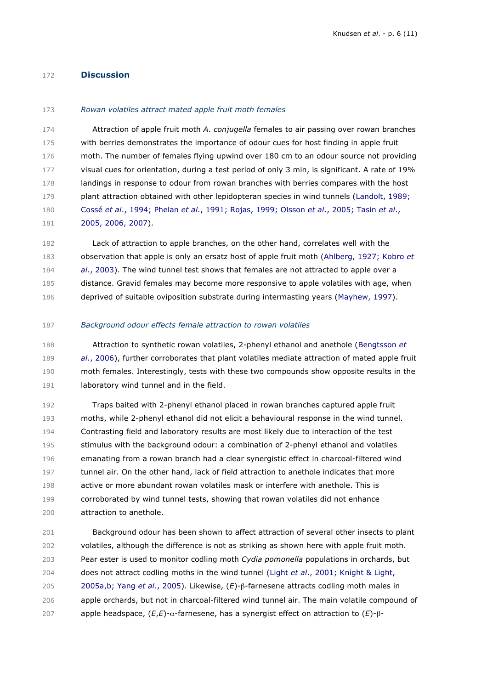### **Discussion**

#### *Rowan volatiles attract mated apple fruit moth females*

 Attraction of apple fruit moth *A*. *conjugella* females to air passing over rowan branches with berries demonstrates the importance of odour cues for host finding in apple fruit moth. The number of females flying upwind over 180 cm to an odour source not providing 177 visual cues for orientation, during a test period of only 3 min, is significant. A rate of 19% 178 landings in response to odour from rowan branches with berries compares with the host plant attraction obtained with other lepidopteran species in wind tunnels (Landolt, 1989; Cossé *et al*., 1994; Phelan *et al*., 1991; Rojas, 1999; Olsson *et al*., 2005; Tasin *et al*., 2005, 2006, 2007).

 Lack of attraction to apple branches, on the other hand, correlates well with the observation that apple is only an ersatz host of apple fruit moth (Ahlberg, 1927; Kobro *et al*., 2003). The wind tunnel test shows that females are not attracted to apple over a distance. Gravid females may become more responsive to apple volatiles with age, when deprived of suitable oviposition substrate during intermasting years (Mayhew, 1997).

*Background odour effects female attraction to rowan volatiles*

 Attraction to synthetic rowan volatiles, 2-phenyl ethanol and anethole (Bengtsson *et al*., 2006), further corroborates that plant volatiles mediate attraction of mated apple fruit moth females. Interestingly, tests with these two compounds show opposite results in the 191 laboratory wind tunnel and in the field.

 Traps baited with 2-phenyl ethanol placed in rowan branches captured apple fruit moths, while 2-phenyl ethanol did not elicit a behavioural response in the wind tunnel. Contrasting field and laboratory results are most likely due to interaction of the test stimulus with the background odour: a combination of 2-phenyl ethanol and volatiles emanating from a rowan branch had a clear synergistic effect in charcoal-filtered wind tunnel air. On the other hand, lack of field attraction to anethole indicates that more active or more abundant rowan volatiles mask or interfere with anethole. This is corroborated by wind tunnel tests, showing that rowan volatiles did not enhance attraction to anethole.

 Background odour has been shown to affect attraction of several other insects to plant volatiles, although the difference is not as striking as shown here with apple fruit moth. Pear ester is used to monitor codling moth *Cydia pomonella* populations in orchards, but does not attract codling moths in the wind tunnel (Light *et al*., 2001; Knight & Light, 2005a,b; Yang *et al*., 2005). Likewise, (*E*)-β-farnesene attracts codling moth males in apple orchards, but not in charcoal-filtered wind tunnel air. The main volatile compound of apple headspace, (*E*,*E*)-α-farnesene, has a synergist effect on attraction to (*E*)-β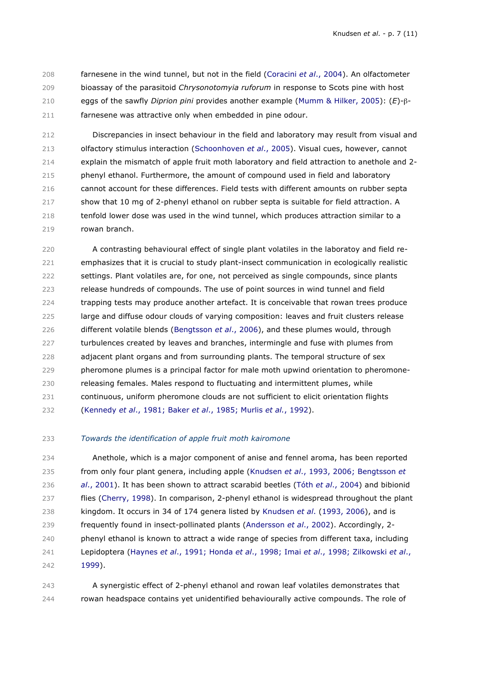farnesene in the wind tunnel, but not in the field (Coracini *et al*., 2004). An olfactometer bioassay of the parasitoid *Chrysonotomyia ruforum* in response to Scots pine with host eggs of the sawfly *Diprion pini* provides another example (Mumm & Hilker, 2005): (*E*)-β-farnesene was attractive only when embedded in pine odour.

 Discrepancies in insect behaviour in the field and laboratory may result from visual and olfactory stimulus interaction (Schoonhoven *et al*., 2005). Visual cues, however, cannot explain the mismatch of apple fruit moth laboratory and field attraction to anethole and 2- phenyl ethanol. Furthermore, the amount of compound used in field and laboratory cannot account for these differences. Field tests with different amounts on rubber septa 217 show that 10 mg of 2-phenyl ethanol on rubber septa is suitable for field attraction. A tenfold lower dose was used in the wind tunnel, which produces attraction similar to a rowan branch.

 A contrasting behavioural effect of single plant volatiles in the laboratoy and field re- emphasizes that it is crucial to study plant-insect communication in ecologically realistic settings. Plant volatiles are, for one, not perceived as single compounds, since plants release hundreds of compounds. The use of point sources in wind tunnel and field trapping tests may produce another artefact. It is conceivable that rowan trees produce large and diffuse odour clouds of varying composition: leaves and fruit clusters release different volatile blends (Bengtsson *et al*., 2006), and these plumes would, through turbulences created by leaves and branches, intermingle and fuse with plumes from adjacent plant organs and from surrounding plants. The temporal structure of sex pheromone plumes is a principal factor for male moth upwind orientation to pheromone- releasing females. Males respond to fluctuating and intermittent plumes, while continuous, uniform pheromone clouds are not sufficient to elicit orientation flights (Kennedy *et al*., 1981; Baker *et al*., 1985; Murlis *et al.*, 1992).

## *Towards the identification of apple fruit moth kairomone*

 Anethole, which is a major component of anise and fennel aroma, has been reported from only four plant genera, including apple (Knudsen *et al*., 1993, 2006; Bengtsson *et al*., 2001). It has been shown to attract scarabid beetles (Tóth *et al*., 2004) and bibionid flies (Cherry, 1998). In comparison, 2-phenyl ethanol is widespread throughout the plant kingdom. It occurs in 34 of 174 genera listed by Knudsen *et al*. (1993, 2006), and is frequently found in insect-pollinated plants (Andersson *et al*., 2002). Accordingly, 2- 240 phenyl ethanol is known to attract a wide range of species from different taxa, including Lepidoptera (Haynes *et al*., 1991; Honda *et al*., 1998; Imai *et al*., 1998; Zilkowski *et al*., 1999).

 A synergistic effect of 2-phenyl ethanol and rowan leaf volatiles demonstrates that rowan headspace contains yet unidentified behaviourally active compounds. The role of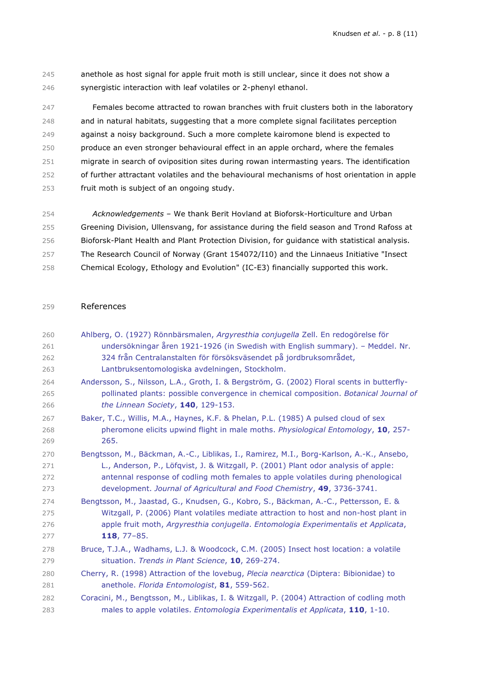anethole as host signal for apple fruit moth is still unclear, since it does not show a synergistic interaction with leaf volatiles or 2-phenyl ethanol.

 Females become attracted to rowan branches with fruit clusters both in the laboratory and in natural habitats, suggesting that a more complete signal facilitates perception against a noisy background. Such a more complete kairomone blend is expected to produce an even stronger behavioural effect in an apple orchard, where the females migrate in search of oviposition sites during rowan intermasting years. The identification of further attractant volatiles and the behavioural mechanisms of host orientation in apple fruit moth is subject of an ongoing study.

 *Acknowledgements –* We thank Berit Hovland at Bioforsk-Horticulture and Urban Greening Division, Ullensvang, for assistance during the field season and Trond Rafoss at Bioforsk-Plant Health and Plant Protection Division, for guidance with statistical analysis. The Research Council of Norway (Grant 154072/I10) and the Linnaeus Initiative "Insect Chemical Ecology, Ethology and Evolution" (IC-E3) financially supported this work.

#### References

| 260 | Ahlberg, O. (1927) Rönnbärsmalen, Argyresthia conjugella Zell. En redogörelse för          |
|-----|--------------------------------------------------------------------------------------------|
| 261 | undersökningar åren 1921-1926 (in Swedish with English summary). - Meddel. Nr.             |
| 262 | 324 från Centralanstalten för försöksväsendet på jordbruksområdet,                         |
| 263 | Lantbruksentomologiska avdelningen, Stockholm.                                             |
| 264 | Andersson, S., Nilsson, L.A., Groth, I. & Bergström, G. (2002) Floral scents in butterfly- |
| 265 | pollinated plants: possible convergence in chemical composition. Botanical Journal of      |
| 266 | the Linnean Society, 140, 129-153.                                                         |
| 267 | Baker, T.C., Willis, M.A., Haynes, K.F. & Phelan, P.L. (1985) A pulsed cloud of sex        |
| 268 | pheromone elicits upwind flight in male moths. Physiological Entomology, 10, 257-          |
| 269 | 265.                                                                                       |
| 270 | Bengtsson, M., Bäckman, A.-C., Liblikas, I., Ramirez, M.I., Borg-Karlson, A.-K., Ansebo,   |
| 271 | L., Anderson, P., Löfqvist, J. & Witzgall, P. (2001) Plant odor analysis of apple:         |
| 272 | antennal response of codling moth females to apple volatiles during phenological           |
| 273 | development. Journal of Agricultural and Food Chemistry, 49, 3736-3741.                    |
| 274 | Bengtsson, M., Jaastad, G., Knudsen, G., Kobro, S., Bäckman, A.-C., Pettersson, E. &       |
| 275 | Witzgall, P. (2006) Plant volatiles mediate attraction to host and non-host plant in       |
| 276 | apple fruit moth, Argyresthia conjugella. Entomologia Experimentalis et Applicata,         |
| 277 | 118, $77 - 85$ .                                                                           |
| 278 | Bruce, T.J.A., Wadhams, L.J. & Woodcock, C.M. (2005) Insect host location: a volatile      |
| 279 | situation. Trends in Plant Science, 10, 269-274.                                           |
| 280 | Cherry, R. (1998) Attraction of the lovebug, Plecia nearctica (Diptera: Bibionidae) to     |
| 281 | anethole. Florida Entomologist, 81, 559-562.                                               |
| 282 | Coracini, M., Bengtsson, M., Liblikas, I. & Witzgall, P. (2004) Attraction of codling moth |
| 283 | males to apple volatiles. Entomologia Experimentalis et Applicata, 110, 1-10.              |
|     |                                                                                            |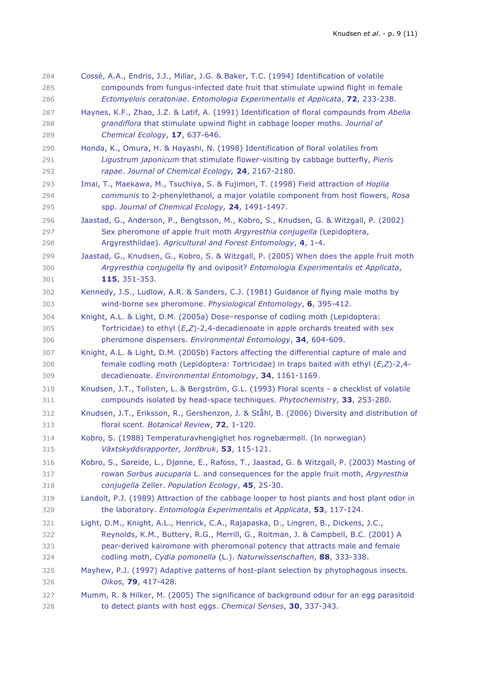| 284 | Cossé, A.A., Endris, J.J., Millar, J.G. & Baker, T.C. (1994) Identification of volatile      |
|-----|----------------------------------------------------------------------------------------------|
| 285 | compounds from fungus-infected date fruit that stimulate upwind flight in female             |
| 286 | Ectomyelois ceratoniae. Entomologia Experimentalis et Applicata, 72, 233-238.                |
| 287 | Haynes, K.F., Zhao, J.Z. & Latif, A. (1991) Identification of floral compounds from Abelia   |
| 288 | grandiflora that stimulate upwind flight in cabbage looper moths. Journal of                 |
| 289 | Chemical Ecology, 17, 637-646.                                                               |
| 290 | Honda, K., Omura, H. & Hayashi, N. (1998) Identification of floral volatiles from            |
| 291 | Ligustrum japonicum that stimulate flower-visiting by cabbage butterfly, Pieris              |
| 292 | rapae. Journal of Chemical Ecology, 24, 2167-2180.                                           |
| 293 | Imai, T., Maekawa, M., Tsuchiya, S. & Fujimori, T. (1998) Field attraction of Hoplia         |
| 294 | communis to 2-phenylethanol, a major volatile component from host flowers, Rosa              |
| 295 | spp. Journal of Chemical Ecology, 24, 1491-1497.                                             |
| 296 | Jaastad, G., Anderson, P., Bengtsson, M., Kobro, S., Knudsen, G. & Witzgall, P. (2002)       |
| 297 | Sex pheromone of apple fruit moth Argyresthia conjugella (Lepidoptera,                       |
| 298 | Argyresthiidae). Agricultural and Forest Entomology, 4, 1-4.                                 |
| 299 | Jaastad, G., Knudsen, G., Kobro, S. & Witzgall, P. (2005) When does the apple fruit moth     |
| 300 | Argyresthia conjugella fly and oviposit? Entomologia Experimentalis et Applicata,            |
| 301 | 115, 351-353.                                                                                |
| 302 | Kennedy, J.S., Ludlow, A.R. & Sanders, C.J. (1981) Guidance of flying male moths by          |
| 303 | wind-borne sex pheromone. Physiological Entomology, 6, 395-412.                              |
| 304 | Knight, A.L. & Light, D.M. (2005a) Dose-response of codling moth (Lepidoptera:               |
| 305 | Tortricidae) to ethyl $(E,Z)$ -2,4-decadienoate in apple orchards treated with sex           |
| 306 | pheromone dispensers. Environmental Entomology, 34, 604-609.                                 |
| 307 | Knight, A.L. & Light, D.M. (2005b) Factors affecting the differential capture of male and    |
| 308 | female codling moth (Lepidoptera: Tortricidae) in traps baited with ethyl $(E,Z)$ -2,4-      |
| 309 | decadienoate. Environmental Entomology, 34, 1161-1169.                                       |
| 310 | Knudsen, J.T., Tollsten, L. & Bergström, G.L. (1993) Floral scents - a checklist of volatile |
| 311 | compounds isolated by head-space techniques. Phytochemistry, 33, 253-280.                    |
| 312 | Knudsen, J.T., Eriksson, R., Gershenzon, J. & Ståhl, B. (2006) Diversity and distribution of |
| 313 | floral scent. Botanical Review, 72, 1-120.                                                   |
| 314 | Kobro, S. (1988) Temperaturavhengighet hos rognebærmøll. (In norwegian)                      |
| 315 | Växtskyddsrapporter, Jordbruk, 53, 115-121.                                                  |
| 316 | Kobro, S., Søreide, L., Djønne, E., Rafoss, T., Jaastad, G. & Witzgall, P. (2003) Masting of |
| 317 | rowan Sorbus aucuparia L. and consequences for the apple fruit moth, Argyresthia             |
| 318 | conjugella Zeller. Population Ecology, 45, 25-30.                                            |
| 319 | Landolt, P.J. (1989) Attraction of the cabbage looper to host plants and host plant odor in  |
| 320 | the laboratory. Entomologia Experimentalis et Applicata, 53, 117-124.                        |
| 321 | Light, D.M., Knight, A.L., Henrick, C.A., Rajapaska, D., Lingren, B., Dickens, J.C.,         |
| 322 | Reynolds, K.M., Buttery, R.G., Merrill, G., Roitman, J. & Campbell, B.C. (2001) A            |
| 323 | pear-derived kairomone with pheromonal potency that attracts male and female                 |
| 324 | codling moth, Cydia pomonella (L.). Naturwissenschaften, 88, 333-338.                        |
| 325 | Mayhew, P.J. (1997) Adaptive patterns of host-plant selection by phytophagous insects.       |
| 326 | Oikos, 79, 417-428.                                                                          |
| 327 | Mumm, R. & Hilker, M. (2005) The significance of background odour for an egg parasitoid      |
| 328 | to detect plants with host eggs. Chemical Senses, 30, 337-343.                               |
|     |                                                                                              |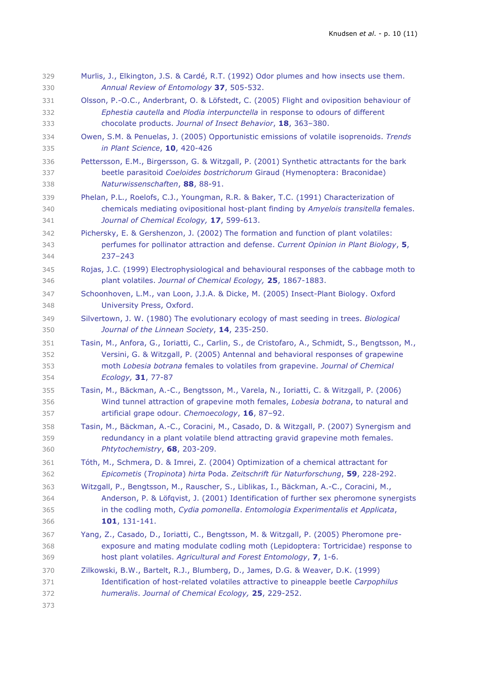| 329<br>330 | Murlis, J., Elkington, J.S. & Cardé, R.T. (1992) Odor plumes and how insects use them.<br>Annual Review of Entomology 37, 505-532. |
|------------|------------------------------------------------------------------------------------------------------------------------------------|
| 331        | Olsson, P.-O.C., Anderbrant, O. & Löfstedt, C. (2005) Flight and oviposition behaviour of                                          |
| 332        | Ephestia cautella and Plodia interpunctella in response to odours of different                                                     |
| 333        | chocolate products. Journal of Insect Behavior, 18, 363-380.                                                                       |
| 334        | Owen, S.M. & Penuelas, J. (2005) Opportunistic emissions of volatile isoprenoids. Trends                                           |
| 335        | in Plant Science, 10, 420-426                                                                                                      |
| 336        | Pettersson, E.M., Birgersson, G. & Witzgall, P. (2001) Synthetic attractants for the bark                                          |
| 337        | beetle parasitoid Coeloides bostrichorum Giraud (Hymenoptera: Braconidae)                                                          |
| 338        | Naturwissenschaften, 88, 88-91.                                                                                                    |
| 339        | Phelan, P.L., Roelofs, C.J., Youngman, R.R. & Baker, T.C. (1991) Characterization of                                               |
| 340        | chemicals mediating ovipositional host-plant finding by Amyelois transitella females.                                              |
| 341        | Journal of Chemical Ecology, 17, 599-613.                                                                                          |
| 342        | Pichersky, E. & Gershenzon, J. (2002) The formation and function of plant volatiles:                                               |
| 343        | perfumes for pollinator attraction and defense. Current Opinion in Plant Biology, 5,                                               |
| 344        | $237 - 243$                                                                                                                        |
| 345        | Rojas, J.C. (1999) Electrophysiological and behavioural responses of the cabbage moth to                                           |
| 346        | plant volatiles. Journal of Chemical Ecology, 25, 1867-1883.                                                                       |
| 347        | Schoonhoven, L.M., van Loon, J.J.A. & Dicke, M. (2005) Insect-Plant Biology. Oxford                                                |
| 348        | University Press, Oxford.                                                                                                          |
| 349        | Silvertown, J. W. (1980) The evolutionary ecology of mast seeding in trees. Biological                                             |
| 350        | Journal of the Linnean Society, 14, 235-250.                                                                                       |
| 351        | Tasin, M., Anfora, G., Ioriatti, C., Carlin, S., de Cristofaro, A., Schmidt, S., Bengtsson, M.,                                    |
| 352        | Versini, G. & Witzgall, P. (2005) Antennal and behavioral responses of grapewine                                                   |
| 353        | moth Lobesia botrana females to volatiles from grapevine. Journal of Chemical                                                      |
| 354        | Ecology, 31, 77-87                                                                                                                 |
| 355        | Tasin, M., Bäckman, A.-C., Bengtsson, M., Varela, N., Ioriatti, C. & Witzgall, P. (2006)                                           |
| 356        | Wind tunnel attraction of grapevine moth females, Lobesia botrana, to natural and                                                  |
| 357        | artificial grape odour. Chemoecology, 16, 87-92.                                                                                   |
| 358        | Tasin, M., Bäckman, A.-C., Coracini, M., Casado, D. & Witzgall, P. (2007) Synergism and                                            |
| 359        | redundancy in a plant volatile blend attracting gravid grapevine moth females.                                                     |
| 360        | Phtytochemistry, 68, 203-209.                                                                                                      |
| 361        | Tóth, M., Schmera, D. & Imrei, Z. (2004) Optimization of a chemical attractant for                                                 |
| 362        | Epicometis (Tropinota) hirta Poda. Zeitschrift für Naturforschung, 59, 228-292.                                                    |
| 363        | Witzgall, P., Bengtsson, M., Rauscher, S., Liblikas, I., Bäckman, A.-C., Coracini, M.,                                             |
| 364        | Anderson, P. & Löfqvist, J. (2001) Identification of further sex pheromone synergists                                              |
| 365        | in the codling moth, Cydia pomonella. Entomologia Experimentalis et Applicata,                                                     |
| 366        | 101, 131-141.                                                                                                                      |
| 367        | Yang, Z., Casado, D., Ioriatti, C., Bengtsson, M. & Witzgall, P. (2005) Pheromone pre-                                             |
| 368        | exposure and mating modulate codling moth (Lepidoptera: Tortricidae) response to                                                   |
| 369        | host plant volatiles. Agricultural and Forest Entomology, 7, 1-6.                                                                  |
| 370        | Zilkowski, B.W., Bartelt, R.J., Blumberg, D., James, D.G. & Weaver, D.K. (1999)                                                    |
| 371        | Identification of host-related volatiles attractive to pineapple beetle Carpophilus                                                |
| 372        | humeralis. Journal of Chemical Ecology, 25, 229-252.                                                                               |
| 373        |                                                                                                                                    |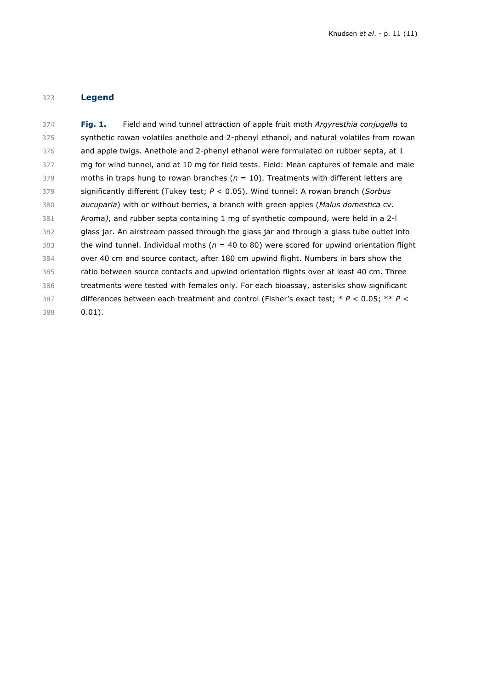# **Legend**

| 374 | Field and wind tunnel attraction of apple fruit moth Argyresthia conjugella to<br><b>Fig. 1.</b>    |
|-----|-----------------------------------------------------------------------------------------------------|
| 375 | synthetic rowan volatiles anethole and 2-phenyl ethanol, and natural volatiles from rowan           |
| 376 | and apple twigs. Anethole and 2-phenyl ethanol were formulated on rubber septa, at 1                |
| 377 | mg for wind tunnel, and at 10 mg for field tests. Field: Mean captures of female and male           |
| 378 | moths in traps hung to rowan branches ( $n = 10$ ). Treatments with different letters are           |
| 379 | significantly different (Tukey test; $P < 0.05$ ). Wind tunnel: A rowan branch (Sorbus              |
| 380 | <i>aucuparia</i> ) with or without berries, a branch with green apples ( <i>Malus domestica</i> cv. |
| 381 | Aroma), and rubber septa containing 1 mg of synthetic compound, were held in a 2-l                  |
| 382 | glass jar. An airstream passed through the glass jar and through a glass tube outlet into           |
| 383 | the wind tunnel. Individual moths ( $n = 40$ to 80) were scored for upwind orientation flight       |
| 384 | over 40 cm and source contact, after 180 cm upwind flight. Numbers in bars show the                 |
| 385 | ratio between source contacts and upwind orientation flights over at least 40 cm. Three             |
| 386 | treatments were tested with females only. For each bioassay, asterisks show significant             |
| 387 | differences between each treatment and control (Fisher's exact test; $* P < 0.05$ ; $* P <$         |
| 388 | $0.01$ ).                                                                                           |